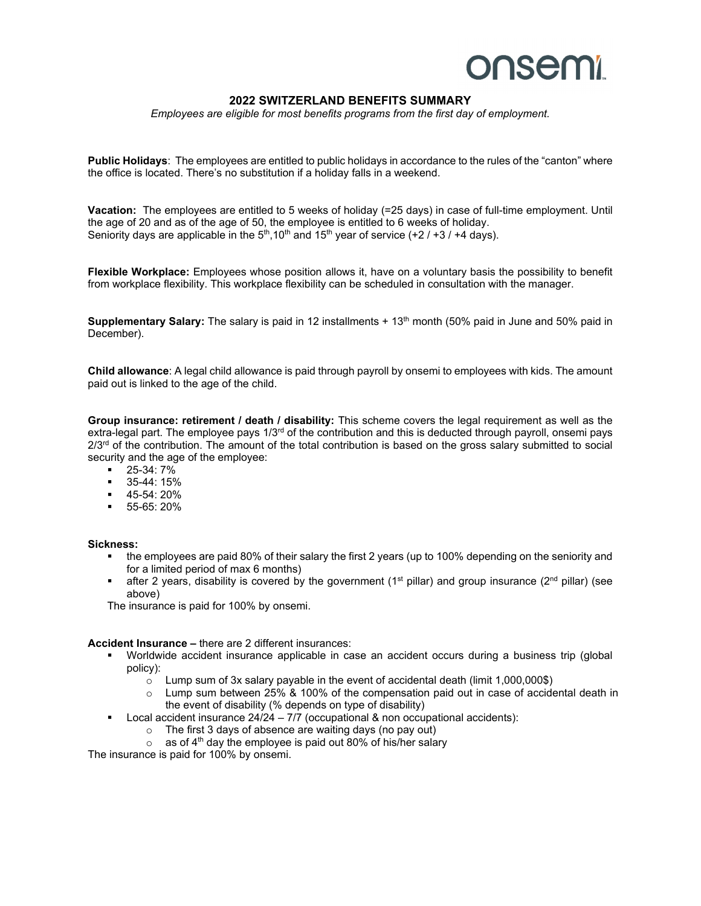## **onsemi**

### **2022 SWITZERLAND BENEFITS SUMMARY**

*Employees are eligible for most benefits programs from the first day of employment.* 

**Public Holidays**: The employees are entitled to public holidays in accordance to the rules of the "canton" where the office is located. There's no substitution if a holiday falls in a weekend.

**Vacation:** The employees are entitled to 5 weeks of holiday (=25 days) in case of full-time employment. Until the age of 20 and as of the age of 50, the employee is entitled to 6 weeks of holiday. Seniority days are applicable in the  $5<sup>th</sup>$ ,10<sup>th</sup> and 15<sup>th</sup> year of service (+2 / +3 / +4 days).

**Flexible Workplace:** Employees whose position allows it, have on a voluntary basis the possibility to benefit from workplace flexibility. This workplace flexibility can be scheduled in consultation with the manager.

**Supplementary Salary:** The salary is paid in 12 installments + 13<sup>th</sup> month (50% paid in June and 50% paid in December).

**Child allowance**: A legal child allowance is paid through payroll by onsemi to employees with kids. The amount paid out is linked to the age of the child.

**Group insurance: retirement / death / disability:** This scheme covers the legal requirement as well as the extra-legal part. The employee pays  $1/3<sup>rd</sup>$  of the contribution and this is deducted through payroll, onsemi pays  $2/3<sup>rd</sup>$  of the contribution. The amount of the total contribution is based on the gross salary submitted to social security and the age of the employee:

- $-25-34:7%$
- 35-44: 15%
- $-45-54:20%$
- 55-65: 20%

#### **Sickness:**

- the employees are paid 80% of their salary the first 2 years (up to 100% depending on the seniority and for a limited period of max 6 months)
- **after 2 years, disability is covered by the government (1st pillar) and group insurance (2nd pillar) (see** above)

The insurance is paid for 100% by onsemi.

#### **Accident Insurance –** there are 2 different insurances:

- Worldwide accident insurance applicable in case an accident occurs during a business trip (global policy):
	- o Lump sum of 3x salary payable in the event of accidental death (limit 1,000,000\$)
	- o Lump sum between 25% & 100% of the compensation paid out in case of accidental death in the event of disability (% depends on type of disability)
- Local accident insurance  $24/24 7/7$  (occupational & non occupational accidents):
	- o The first 3 days of absence are waiting days (no pay out)
	- $\circ$  as of 4<sup>th</sup> day the employee is paid out 80% of his/her salary

The insurance is paid for 100% by onsemi.